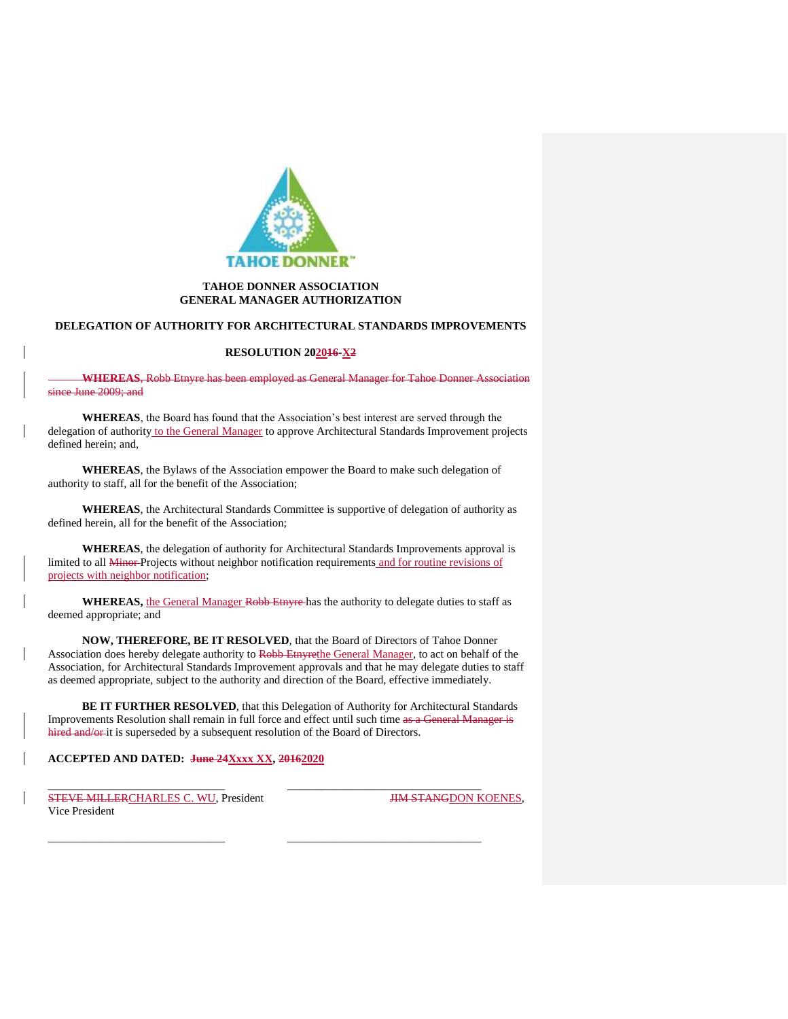

## **TAHOE DONNER ASSOCIATION GENERAL MANAGER AUTHORIZATION**

#### **DELEGATION OF AUTHORITY FOR ARCHITECTURAL STANDARDS IMPROVEMENTS**

#### **RESOLUTION 202016-X2**

**WHEREAS**, Robb Etnyre has been employed as General Manager for Tahoe Donner Association since June 2009; and

**WHEREAS**, the Board has found that the Association's best interest are served through the delegation of authority to the General Manager to approve Architectural Standards Improvement projects defined herein; and,

**WHEREAS**, the Bylaws of the Association empower the Board to make such delegation of authority to staff, all for the benefit of the Association;

**WHEREAS**, the Architectural Standards Committee is supportive of delegation of authority as defined herein, all for the benefit of the Association;

**WHEREAS**, the delegation of authority for Architectural Standards Improvements approval is limited to all Minor Projects without neighbor notification requirements and for routine revisions of projects with neighbor notification;

**WHEREAS,** the General Manager Robb Etnyre has the authority to delegate duties to staff as deemed appropriate; and

**NOW, THEREFORE, BE IT RESOLVED**, that the Board of Directors of Tahoe Donner Association does hereby delegate authority to Robb Etnyrethe General Manager, to act on behalf of the Association, for Architectural Standards Improvement approvals and that he may delegate duties to staff as deemed appropriate, subject to the authority and direction of the Board, effective immediately.

BE IT FURTHER RESOLVED, that this Delegation of Authority for Architectural Standards Improvements Resolution shall remain in full force and effect until such time as a General Manager is hired and/or-it is superseded by a subsequent resolution of the Board of Directors.

\_\_\_\_\_\_\_\_\_\_\_\_\_\_\_\_\_\_\_\_\_\_\_\_\_\_\_\_\_\_\_ \_\_\_\_\_\_\_\_\_\_\_\_\_\_\_\_\_\_\_\_\_\_\_\_\_\_\_\_\_\_\_\_\_\_

 $\frac{1}{2}$  ,  $\frac{1}{2}$  ,  $\frac{1}{2}$  ,  $\frac{1}{2}$  ,  $\frac{1}{2}$  ,  $\frac{1}{2}$  ,  $\frac{1}{2}$  ,  $\frac{1}{2}$  ,  $\frac{1}{2}$  ,  $\frac{1}{2}$  ,  $\frac{1}{2}$  ,  $\frac{1}{2}$  ,  $\frac{1}{2}$  ,  $\frac{1}{2}$  ,  $\frac{1}{2}$  ,  $\frac{1}{2}$  ,  $\frac{1}{2}$  ,  $\frac{1}{2}$  ,  $\frac{1$ 

# **ACCEPTED AND DATED: June 24Xxxx XX, 20162020**

STEVE MILLERCHARLES C. WU, President JIM STANGDON KOENES, Vice President